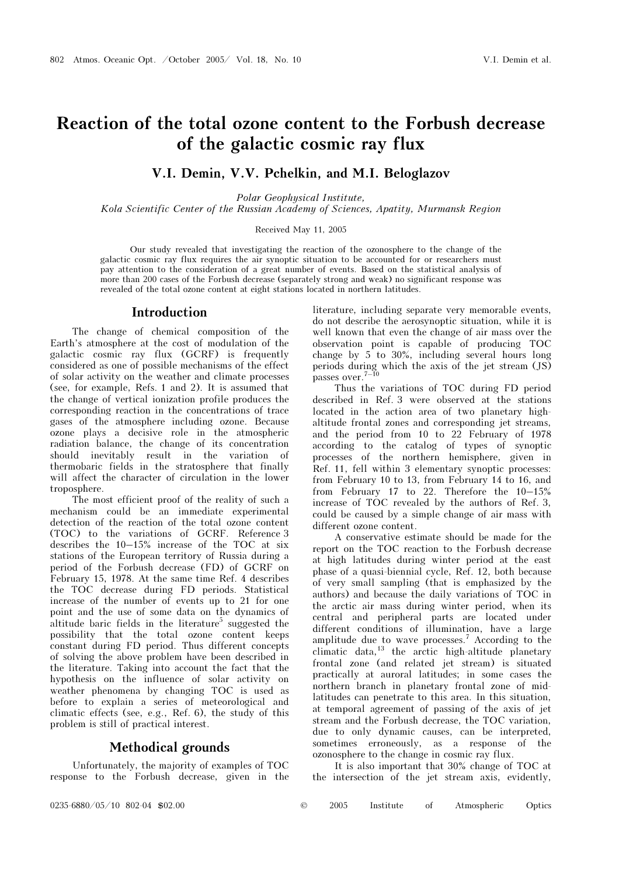# Reaction of the total ozone content to the Forbush decrease of the galactic cosmic ray flux

# V.I. Demin, V.V. Pchelkin, and M.I. Beloglazov

Polar Geophysical Institute,

Kola Scientific Center of the Russian Academy of Sciences, Apatity, Murmansk Region

Received May 11, 2005

Our study revealed that investigating the reaction of the ozonosphere to the change of the galactic cosmic ray flux requires the air synoptic situation to be accounted for or researchers must pay attention to the consideration of a great number of events. Based on the statistical analysis of more than 200 cases of the Forbush decrease (separately strong and weak) no significant response was revealed of the total ozone content at eight stations located in northern latitudes.

### Introduction

The change of chemical composition of the Earth's atmosphere at the cost of modulation of the galactic cosmic ray flux (GCRF) is frequently considered as one of possible mechanisms of the effect of solar activity on the weather and climate processes (see, for example, Refs. 1 and 2). It is assumed that the change of vertical ionization profile produces the corresponding reaction in the concentrations of trace gases of the atmosphere including ozone. Because ozone plays a decisive role in the atmospheric radiation balance, the change of its concentration should inevitably result in the variation of thermobaric fields in the stratosphere that finally will affect the character of circulation in the lower troposphere.

The most efficient proof of the reality of such a mechanism could be an immediate experimental detection of the reaction of the total ozone content (TOC) to the variations of GCRF. Reference 3 describes the 10–15% increase of the TOC at six stations of the European territory of Russia during a period of the Forbush decrease (FD) of GCRF on February 15, 1978. At the same time Ref. 4 describes the TOC decrease during FD periods. Statistical increase of the number of events up to 21 for one point and the use of some data on the dynamics of altitude baric fields in the literature<sup>5</sup> suggested the possibility that the total ozone content keeps constant during FD period. Thus different concepts of solving the above problem have been described in the literature. Taking into account the fact that the hypothesis on the influence of solar activity on weather phenomena by changing TOC is used as before to explain a series of meteorological and climatic effects (see, e.g., Ref. 6), the study of this problem is still of practical interest.

#### Methodical grounds

Unfortunately, the majority of examples of TOC response to the Forbush decrease, given in the literature, including separate very memorable events, do not describe the aerosynoptic situation, while it is well known that even the change of air mass over the observation point is capable of producing TOC change by 5 to 30%, including several hours long periods during which the axis of the jet stream (JS)  $_{\rm passes~over.^{7-10}}$ 

Thus the variations of TOC during FD period described in Ref. 3 were observed at the stations located in the action area of two planetary highaltitude frontal zones and corresponding jet streams, and the period from 10 to 22 February of 1978 according to the catalog of types of synoptic processes of the northern hemisphere, given in Ref. 11, fell within 3 elementary synoptic processes: from February 10 to 13, from February 14 to 16, and from February 17 to 22. Therefore the 10–15% increase of TOC revealed by the authors of Ref. 3, could be caused by a simple change of air mass with different ozone content.

A conservative estimate should be made for the report on the TOC reaction to the Forbush decrease at high latitudes during winter period at the east phase of a quasi-biennial cycle, Ref. 12, both because of very small sampling (that is emphasized by the authors) and because the daily variations of TOC in the arctic air mass during winter period, when its central and peripheral parts are located under different conditions of illumination, have a large amplitude due to wave processes.<sup>7</sup> According to the climatic data,<sup>13</sup> the arctic high-altitude planetary frontal zone (and related jet stream) is situated practically at auroral latitudes; in some cases the northern branch in planetary frontal zone of midlatitudes can penetrate to this area. In this situation, at temporal agreement of passing of the axis of jet stream and the Forbush decrease, the TOC variation, due to only dynamic causes, can be interpreted, sometimes erroneously, as a response of the ozonosphere to the change in cosmic ray flux.

It is also important that 30% change of TOC at the intersection of the jet stream axis, evidently,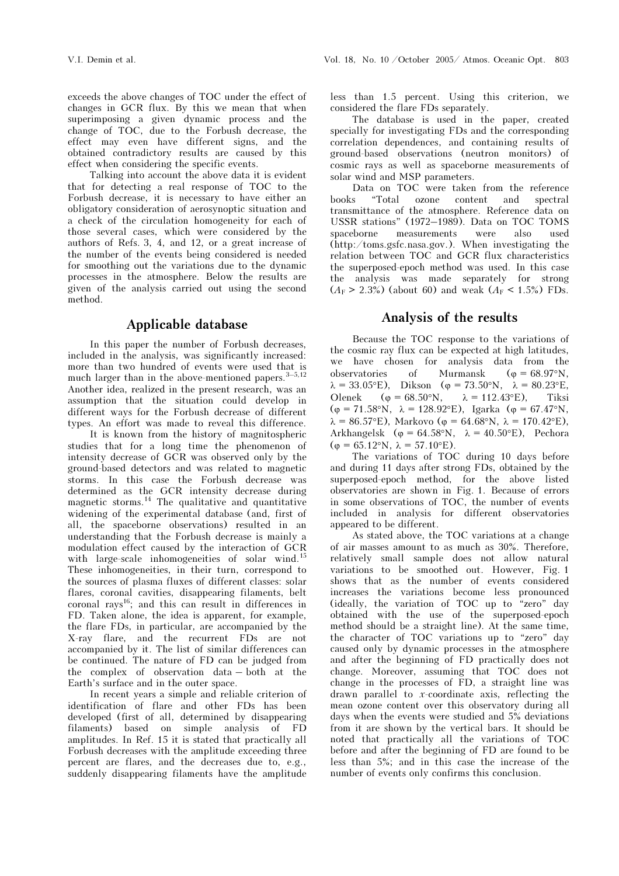exceeds the above changes of TOC under the effect of changes in GCR flux. By this we mean that when superimposing a given dynamic process and the change of TOC, due to the Forbush decrease, the effect may even have different signs, and the obtained contradictory results are caused by this effect when considering the specific events.

Talking into account the above data it is evident that for detecting a real response of TOC to the Forbush decrease, it is necessary to have either an obligatory consideration of aerosynoptic situation and a check of the circulation homogeneity for each of those several cases, which were considered by the authors of Refs. 3, 4, and 12, or a great increase of the number of the events being considered is needed for smoothing out the variations due to the dynamic processes in the atmosphere. Below the results are given of the analysis carried out using the second method.

# Applicable database

In this paper the number of Forbush decreases, included in the analysis, was significantly increased: more than two hundred of events were used that is much larger than in the above-mentioned papers.  $3-5,12$ Another idea, realized in the present research, was an assumption that the situation could develop in different ways for the Forbush decrease of different types. An effort was made to reveal this difference.

 It is known from the history of magnitospheric studies that for a long time the phenomenon of intensity decrease of GCR was observed only by the ground-based detectors and was related to magnetic storms. In this case the Forbush decrease was determined as the GCR intensity decrease during magnetic storms.<sup>14</sup> The qualitative and quantitative widening of the experimental database (and, first of all, the spaceborne observations) resulted in an understanding that the Forbush decrease is mainly a modulation effect caused by the interaction of GCR with large-scale inhomogeneities of solar wind.<sup>15</sup> These inhomogeneities, in their turn, correspond to the sources of plasma fluxes of different classes: solar flares, coronal cavities, disappearing filaments, belt coronal rays<sup>16</sup>; and this can result in differences in FD. Taken alone, the idea is apparent, for example, the flare FDs, in particular, are accompanied by the X-ray flare, and the recurrent FDs are not accompanied by it. The list of similar differences can be continued. The nature of FD can be judged from the complex of observation data – both at the Earth's surface and in the outer space.

In recent years a simple and reliable criterion of identification of flare and other FDs has been developed (first of all, determined by disappearing filaments) based on simple analysis of FD amplitudes. In Ref. 15 it is stated that practically all Forbush decreases with the amplitude exceeding three percent are flares, and the decreases due to, e.g., suddenly disappearing filaments have the amplitude less than 1.5 percent. Using this criterion, we considered the flare FDs separately.

The database is used in the paper, created specially for investigating FDs and the corresponding correlation dependences, and containing results of ground-based observations (neutron monitors) of cosmic rays as well as spaceborne measurements of solar wind and MSP parameters.

Data on TOC were taken from the reference books "Total ozone content and spectral transmittance of the atmosphere. Reference data on USSR stations" (1972–1989). Data on TOC TOMS spaceborne measurements were also used (http:/toms.gsfc.nasa.gov.). When investigating the relation between TOC and GCR flux characteristics the superposed-epoch method was used. In this case the analysis was made separately for strong  $(A_F > 2.3\%)$  (about 60) and weak  $(A_F < 1.5\%)$  FDs.

# Analysis of the results

Because the TOC response to the variations of the cosmic ray flux can be expected at high latitudes, we have chosen for analysis data from the observatories of Murmansk ( $\varphi = 68.97^{\circ}$ N,  $\lambda = 33.05$ °E), Dikson ( $\varphi = 73.50$ °N,  $\lambda = 80.23$ °E, Olenek ( $\varphi = 68.50$ °N,  $\lambda = 112.43$ °E), Tiksi ( $\varphi = 71.58$ °N,  $\lambda = 128.92$ °E), Igarka ( $\varphi = 67.47$ °N,  $\lambda = 86.57$ °E), Markovo ( $\varphi = 64.68$ °N,  $\lambda = 170.42$ °E), Arkhangelsk ( $\varphi = 64.58$ °N,  $\lambda = 40.50$ °E), Pechora  $(\varphi = 65.12$ °N,  $\lambda = 57.10$ °E).

The variations of TOC during 10 days before and during 11 days after strong FDs, obtained by the superposed-epoch method, for the above listed observatories are shown in Fig. 1. Because of errors in some observations of TOC, the number of events included in analysis for different observatories appeared to be different.

As stated above, the TOC variations at a change of air masses amount to as much as 30%. Therefore, relatively small sample does not allow natural variations to be smoothed out. However, Fig. 1 shows that as the number of events considered increases the variations become less pronounced (ideally, the variation of TOC up to "zero" day obtained with the use of the superposed-epoch method should be a straight line). At the same time, the character of TOC variations up to "zero" day caused only by dynamic processes in the atmosphere and after the beginning of FD practically does not change. Moreover, assuming that TOC does not change in the processes of FD, a straight line was drawn parallel to x-coordinate axis, reflecting the mean ozone content over this observatory during all days when the events were studied and 5% deviations from it are shown by the vertical bars. It should be noted that practically all the variations of TOC before and after the beginning of FD are found to be less than 5%; and in this case the increase of the number of events only confirms this conclusion.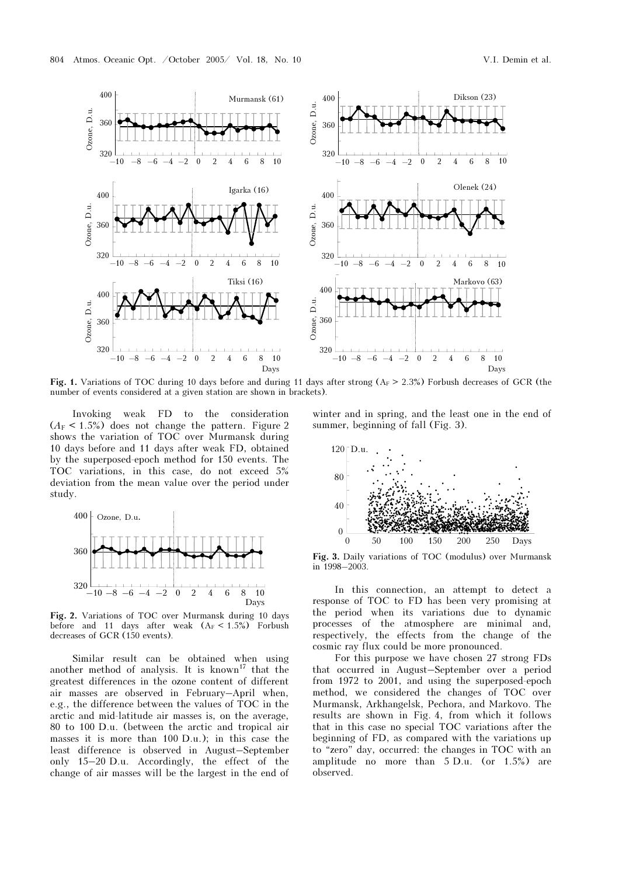

Fig. 1. Variations of TOC during 10 days before and during 11 days after strong  $(A_F > 2.3%)$  Forbush decreases of GCR (the number of events considered at a given station are shown in brackets).

Invoking weak FD to the consideration  $(A_F < 1.5\%)$  does not change the pattern. Figure 2 shows the variation of TOC over Murmansk during 10 days before and 11 days after weak FD, obtained by the superposed-epoch method for 150 events. The TOC variations, in this case, do not exceed 5% deviation from the mean value over the period under study.



Fig. 2. Variations of TOC over Murmansk during 10 days before and 11 days after weak  $(A_F < 1.5\%)$  Forbush decreases of GCR (150 events).

Similar result can be obtained when using another method of analysis. It is known<sup>17</sup> that the greatest differences in the ozone content of different air masses are observed in February–April when, e.g., the difference between the values of TOC in the arctic and mid-latitude air masses is, on the average, 80 to 100 D.u. (between the arctic and tropical air masses it is more than 100 D.u.); in this case the least difference is observed in August–September only 15–20 D.u. Accordingly, the effect of the change of air masses will be the largest in the end of winter and in spring, and the least one in the end of summer, beginning of fall (Fig. 3).



Fig. 3. Daily variations of TOC (modulus) over Murmansk in 1998–2003.

In this connection, an attempt to detect a response of TOC to FD has been very promising at the period when its variations due to dynamic processes of the atmosphere are minimal and, respectively, the effects from the change of the cosmic ray flux could be more pronounced.

For this purpose we have chosen 27 strong FDs that occurred in August–September over a period from 1972 to 2001, and using the superposed-epoch method, we considered the changes of TOC over Murmansk, Arkhangelsk, Pechora, and Markovo. The results are shown in Fig. 4, from which it follows that in this case no special TOC variations after the beginning of FD, as compared with the variations up to "zero" day, occurred: the changes in TOC with an amplitude no more than 5 D.u. (or 1.5%) are observed.